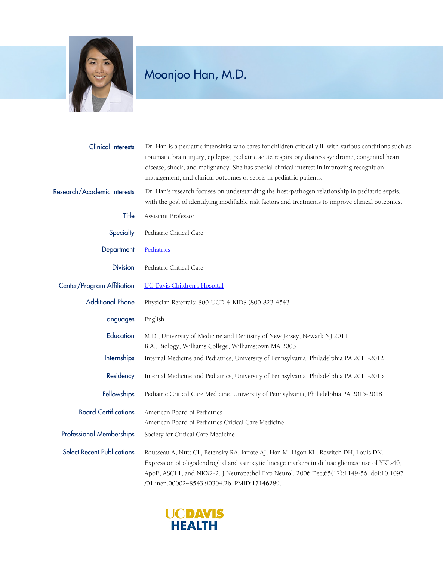

## Moonjoo Han, M.D.

| <b>Clinical Interests</b>         | Dr. Han is a pediatric intensivist who cares for children critically ill with various conditions such as<br>traumatic brain injury, epilepsy, pediatric acute respiratory distress syndrome, congenital heart<br>disease, shock, and malignancy. She has special clinical interest in improving recognition,<br>management, and clinical outcomes of sepsis in pediatric patients. |
|-----------------------------------|------------------------------------------------------------------------------------------------------------------------------------------------------------------------------------------------------------------------------------------------------------------------------------------------------------------------------------------------------------------------------------|
| Research/Academic Interests       | Dr. Han's research focuses on understanding the host-pathogen relationship in pediatric sepsis,<br>with the goal of identifying modifiable risk factors and treatments to improve clinical outcomes.                                                                                                                                                                               |
| Title                             | Assistant Professor                                                                                                                                                                                                                                                                                                                                                                |
| Specialty                         | Pediatric Critical Care                                                                                                                                                                                                                                                                                                                                                            |
| Department                        | Pediatrics                                                                                                                                                                                                                                                                                                                                                                         |
| <b>Division</b>                   | Pediatric Critical Care                                                                                                                                                                                                                                                                                                                                                            |
| Center/Program Affiliation        | <b>UC Davis Children's Hospital</b>                                                                                                                                                                                                                                                                                                                                                |
| <b>Additional Phone</b>           | Physician Referrals: 800-UCD-4-KIDS (800-823-4543                                                                                                                                                                                                                                                                                                                                  |
| Languages                         | English                                                                                                                                                                                                                                                                                                                                                                            |
| Education                         | M.D., University of Medicine and Dentistry of New Jersey, Newark NJ 2011<br>B.A., Biology, Williams College, Williamstown MA 2003                                                                                                                                                                                                                                                  |
| Internships                       | Internal Medicine and Pediatrics, University of Pennsylvania, Philadelphia PA 2011-2012                                                                                                                                                                                                                                                                                            |
| Residency                         | Internal Medicine and Pediatrics, University of Pennsylvania, Philadelphia PA 2011-2015                                                                                                                                                                                                                                                                                            |
| Fellowships                       | Pediatric Critical Care Medicine, University of Pennsylvania, Philadelphia PA 2015-2018                                                                                                                                                                                                                                                                                            |
| <b>Board Certifications</b>       | American Board of Pediatrics<br>American Board of Pediatrics Critical Care Medicine                                                                                                                                                                                                                                                                                                |
| <b>Professional Memberships</b>   | Society for Critical Care Medicine                                                                                                                                                                                                                                                                                                                                                 |
| <b>Select Recent Publications</b> | Rousseau A, Nutt CL, Betensky RA, Iafrate AJ, Han M, Ligon KL, Rowitch DH, Louis DN.<br>Expression of oligodendroglial and astrocytic lineage markers in diffuse gliomas: use of YKL-40,<br>ApoE, ASCL1, and NKX2-2. J Neuropathol Exp Neurol. 2006 Dec;65(12):1149-56. doi:10.1097<br>/01.jnen.0000248543.90304.2b. PMID:17146289.                                                |

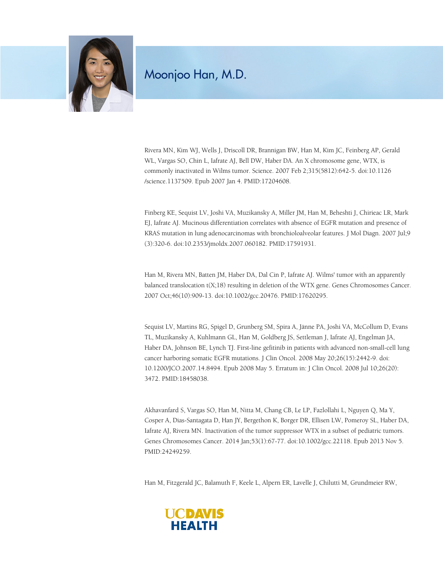

## Moonjoo Han, M.D.

Rivera MN, Kim WJ, Wells J, Driscoll DR, Brannigan BW, Han M, Kim JC, Feinberg AP, Gerald WL, Vargas SO, Chin L, Iafrate AJ, Bell DW, Haber DA. An X chromosome gene, WTX, is commonly inactivated in Wilms tumor. Science. 2007 Feb 2;315(5812):642-5. doi:10.1126 /science.1137509. Epub 2007 Jan 4. PMID:17204608.

Finberg KE, Sequist LV, Joshi VA, Muzikansky A, Miller JM, Han M, Beheshti J, Chirieac LR, Mark EJ, Iafrate AJ. Mucinous differentiation correlates with absence of EGFR mutation and presence of KRAS mutation in lung adenocarcinomas with bronchioloalveolar features. J Mol Diagn. 2007 Jul;9 (3):320-6. doi:10.2353/jmoldx.2007.060182. PMID:17591931.

Han M, Rivera MN, Batten JM, Haber DA, Dal Cin P, Iafrate AJ. Wilms' tumor with an apparently balanced translocation t(X;18) resulting in deletion of the WTX gene. Genes Chromosomes Cancer. 2007 Oct;46(10):909-13. doi:10.1002/gcc.20476. PMID:17620295.

Sequist LV, Martins RG, Spigel D, Grunberg SM, Spira A, Jänne PA, Joshi VA, McCollum D, Evans TL, Muzikansky A, Kuhlmann GL, Han M, Goldberg JS, Settleman J, Iafrate AJ, Engelman JA, Haber DA, Johnson BE, Lynch TJ. First-line gefitinib in patients with advanced non-small-cell lung cancer harboring somatic EGFR mutations. J Clin Oncol. 2008 May 20;26(15):2442-9. doi: 10.1200/JCO.2007.14.8494. Epub 2008 May 5. Erratum in: J Clin Oncol. 2008 Jul 10;26(20): 3472. PMID:18458038.

Akhavanfard S, Vargas SO, Han M, Nitta M, Chang CB, Le LP, Fazlollahi L, Nguyen Q, Ma Y, Cosper A, Dias-Santagata D, Han JY, Bergethon K, Borger DR, Ellisen LW, Pomeroy SL, Haber DA, Iafrate AJ, Rivera MN. Inactivation of the tumor suppressor WTX in a subset of pediatric tumors. Genes Chromosomes Cancer. 2014 Jan;53(1):67-77. doi:10.1002/gcc.22118. Epub 2013 Nov 5. PMID:24249259.

Han M, Fitzgerald JC, Balamuth F, Keele L, Alpern ER, Lavelle J, Chilutti M, Grundmeier RW,